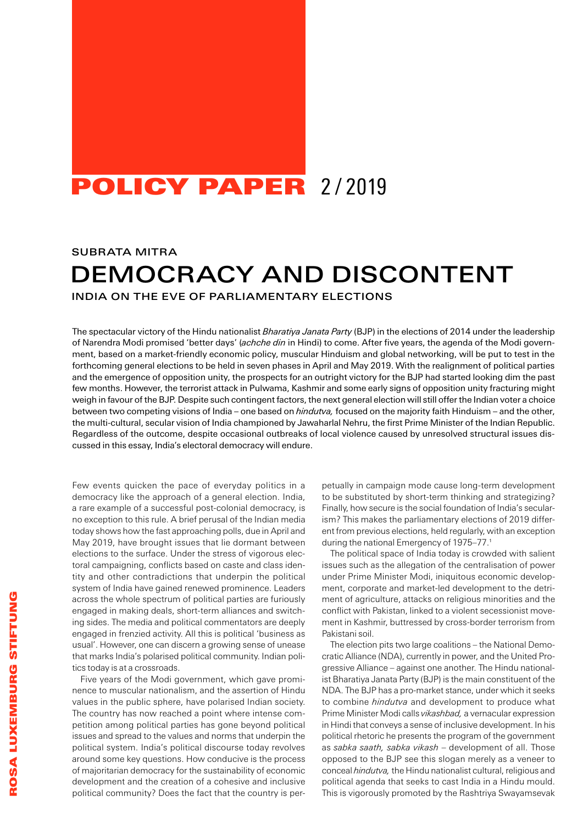## POLICY PAPER 2/2019

SUBRATA MITRA

# DEMOCRACY AND DISCONTENT

INDIA ON THE EVE OF PARLIAMENTARY ELECTIONS

The spectacular victory of the Hindu nationalist *Bharatiya Janata Party* (BJP) in the elections of 2014 under the leadership of Narendra Modi promised 'better days' (*achche din* in Hindi) to come. After five years, the agenda of the Modi government, based on a market-friendly economic policy, muscular Hinduism and global networking, will be put to test in the forthcoming general elections to be held in seven phases in April and May 2019. With the realignment of political parties and the emergence of opposition unity, the prospects for an outright victory for the BJP had started looking dim the past few months. However, the terrorist attack in Pulwama, Kashmir and some early signs of opposition unity fracturing might weigh in favour of the BJP. Despite such contingent factors, the next general election will still offer the Indian voter a choice between two competing visions of India – one based on *hindutva,* focused on the majority faith Hinduism – and the other, the multi-cultural, secular vision of India championed by Jawaharlal Nehru, the first Prime Minister of the Indian Republic. Regardless of the outcome, despite occasional outbreaks of local violence caused by unresolved structural issues discussed in this essay, India's electoral democracy will endure.

Few events quicken the pace of everyday politics in a democracy like the approach of a general election. India, a rare example of a successful post-colonial democracy, is no exception to this rule. A brief perusal of the Indian media today shows how the fast approaching polls, due in April and May 2019, have brought issues that lie dormant between elections to the surface. Under the stress of vigorous electoral campaigning, conflicts based on caste and class identity and other contradictions that underpin the political system of India have gained renewed prominence. Leaders across the whole spectrum of political parties are furiously engaged in making deals, short-term alliances and switching sides. The media and political commentators are deeply engaged in frenzied activity. All this is political 'business as usual'. However, one can discern a growing sense of unease that marks India's polarised political community. Indian politics today is at a crossroads.

Five years of the Modi government, which gave prominence to muscular nationalism, and the assertion of Hindu values in the public sphere, have polarised Indian society. The country has now reached a point where intense competition among political parties has gone beyond political issues and spread to the values and norms that underpin the political system. India's political discourse today revolves around some key questions. How conducive is the process of majoritarian democracy for the sustainability of economic development and the creation of a cohesive and inclusive political community? Does the fact that the country is per-

petually in campaign mode cause long-term development to be substituted by short-term thinking and strategizing? Finally, how secure is the social foundation of India's secularism? This makes the parliamentary elections of 2019 different from previous elections, held regularly, with an exception during the national Emergency of 1975–77.<sup>1</sup>

The political space of India today is crowded with salient issues such as the allegation of the centralisation of power under Prime Minister Modi, iniquitous economic development, corporate and market-led development to the detriment of agriculture, attacks on religious minorities and the conflict with Pakistan, linked to a violent secessionist movement in Kashmir, buttressed by cross-border terrorism from Pakistani soil.

The election pits two large coalitions – the National Democratic Alliance (NDA), currently in power, and the United Progressive Alliance – against one another. The Hindu nationalist Bharatiya Janata Party (BJP) is the main constituent of the NDA. The BJP has a pro-market stance, under which it seeks to combine *hindutva* and development to produce what Prime Minister Modi calls *vikashbad,* a vernacular expression in Hindi that conveys a sense of inclusive development. In his political rhetoric he presents the program of the government as *sabka saath, sabka vikash* – development of all. Those opposed to the BJP see this slogan merely as a veneer to conceal *hindutva,* the Hindu nationalist cultural, religious and political agenda that seeks to cast India in a Hindu mould. This is vigorously promoted by the Rashtriya Swayamsevak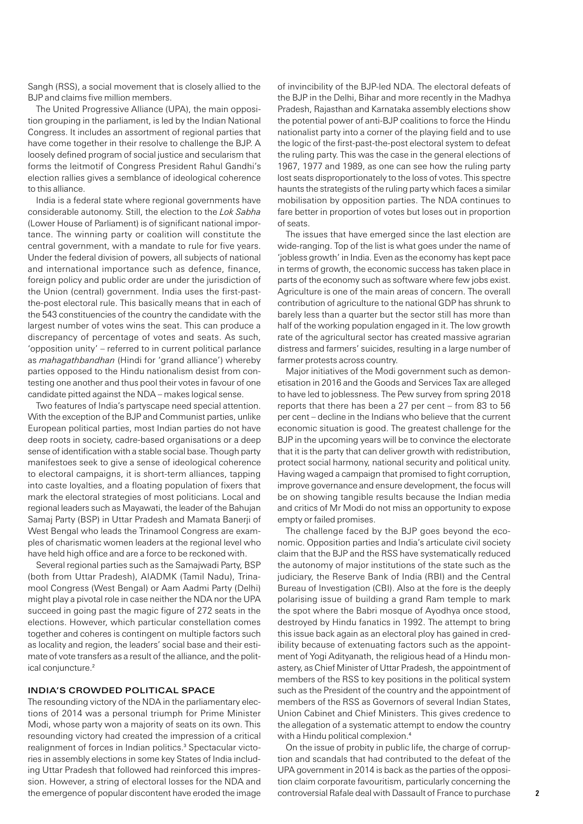Sangh (RSS), a social movement that is closely allied to the BJP and claims five million members.

The United Progressive Alliance (UPA), the main opposition grouping in the parliament, is led by the Indian National Congress. It includes an assortment of regional parties that have come together in their resolve to challenge the BJP. A loosely defined program of social justice and secularism that forms the leitmotif of Congress President Rahul Gandhi's election rallies gives a semblance of ideological coherence to this alliance.

India is a federal state where regional governments have considerable autonomy. Still, the election to the *Lok Sabha* (Lower House of Parliament) is of significant national importance. The winning party or coalition will constitute the central government, with a mandate to rule for five years. Under the federal division of powers, all subjects of national and international importance such as defence, finance, foreign policy and public order are under the jurisdiction of the Union (central) government. India uses the first-pastthe-post electoral rule. This basically means that in each of the 543 constituencies of the country the candidate with the largest number of votes wins the seat. This can produce a discrepancy of percentage of votes and seats. As such, 'opposition unity' – referred to in current political parlance as *mahagathbandhan* (Hindi for 'grand alliance') whereby parties opposed to the Hindu nationalism desist from contesting one another and thus pool their votes in favour of one candidate pitted against the NDA – makes logical sense.

Two features of India's partyscape need special attention. With the exception of the BJP and Communist parties, unlike European political parties, most Indian parties do not have deep roots in society, cadre-based organisations or a deep sense of identification with a stable social base. Though party manifestoes seek to give a sense of ideological coherence to electoral campaigns, it is short-term alliances, tapping into caste loyalties, and a floating population of fixers that mark the electoral strategies of most politicians. Local and regional leaders such as Mayawati, the leader of the Bahujan Samaj Party (BSP) in Uttar Pradesh and Mamata Banerji of West Bengal who leads the Trinamool Congress are examples of charismatic women leaders at the regional level who have held high office and are a force to be reckoned with.

Several regional parties such as the Samajwadi Party, BSP (both from Uttar Pradesh), AIADMK (Tamil Nadu), Trinamool Congress (West Bengal) or Aam Aadmi Party (Delhi) might play a pivotal role in case neither the NDA nor the UPA succeed in going past the magic figure of 272 seats in the elections. However, which particular constellation comes together and coheres is contingent on multiple factors such as locality and region, the leaders' social base and their estimate of vote transfers as a result of the alliance, and the political conjuncture.<sup>2</sup>

### INDIA'S CROWDED POLITICAL SPACE

The resounding victory of the NDA in the parliamentary elections of 2014 was a personal triumph for Prime Minister Modi, whose party won a majority of seats on its own. This resounding victory had created the impression of a critical realignment of forces in Indian politics.<sup>3</sup> Spectacular victories in assembly elections in some key States of India including Uttar Pradesh that followed had reinforced this impression. However, a string of electoral losses for the NDA and the emergence of popular discontent have eroded the image of invincibility of the BJP-led NDA. The electoral defeats of the BJP in the Delhi, Bihar and more recently in the Madhya Pradesh, Rajasthan and Karnataka assembly elections show the potential power of anti-BJP coalitions to force the Hindu nationalist party into a corner of the playing field and to use the logic of the first-past-the-post electoral system to defeat the ruling party. This was the case in the general elections of 1967, 1977 and 1989, as one can see how the ruling party lost seats disproportionately to the loss of votes. This spectre haunts the strategists of the ruling party which faces a similar mobilisation by opposition parties. The NDA continues to fare better in proportion of votes but loses out in proportion of seats.

The issues that have emerged since the last election are wide-ranging. Top of the list is what goes under the name of 'jobless growth' in India. Even as the economy has kept pace in terms of growth, the economic success has taken place in parts of the economy such as software where few jobs exist. Agriculture is one of the main areas of concern. The overall contribution of agriculture to the national GDP has shrunk to barely less than a quarter but the sector still has more than half of the working population engaged in it. The low growth rate of the agricultural sector has created massive agrarian distress and farmers' suicides, resulting in a large number of farmer protests across country.

Major initiatives of the Modi government such as demonetisation in 2016 and the Goods and Services Tax are alleged to have led to joblessness. The Pew survey from spring 2018 reports that there has been a 27 per cent – from 83 to 56 per cent – decline in the Indians who believe that the current economic situation is good. The greatest challenge for the BJP in the upcoming years will be to convince the electorate that it is the party that can deliver growth with redistribution, protect social harmony, national security and political unity. Having waged a campaign that promised to fight corruption, improve governance and ensure development, the focus will be on showing tangible results because the Indian media and critics of Mr Modi do not miss an opportunity to expose empty or failed promises.

The challenge faced by the BJP goes beyond the economic. Opposition parties and India's articulate civil society claim that the BJP and the RSS have systematically reduced the autonomy of major institutions of the state such as the judiciary, the Reserve Bank of India (RBI) and the Central Bureau of Investigation (CBI). Also at the fore is the deeply polarising issue of building a grand Ram temple to mark the spot where the Babri mosque of Ayodhya once stood, destroyed by Hindu fanatics in 1992. The attempt to bring this issue back again as an electoral ploy has gained in credibility because of extenuating factors such as the appointment of Yogi Adityanath, the religious head of a Hindu monastery, as Chief Minister of Uttar Pradesh, the appointment of members of the RSS to key positions in the political system such as the President of the country and the appointment of members of the RSS as Governors of several Indian States, Union Cabinet and Chief Ministers. This gives credence to the allegation of a systematic attempt to endow the country with a Hindu political complexion.<sup>4</sup>

On the issue of probity in public life, the charge of corruption and scandals that had contributed to the defeat of the UPA government in 2014 is back as the parties of the opposition claim corporate favouritism, particularly concerning the controversial Rafale deal with Dassault of France to purchase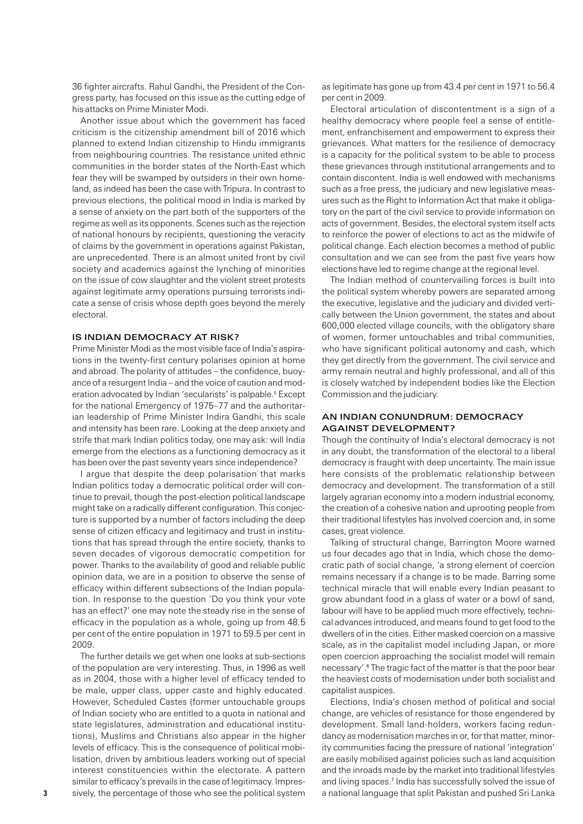36 fighter aircrafts. Rahul Gandhi, the President of the Congress party, has focused on this issue as the cutting edge of his attacks on Prime Minister Modi.

Another issue about which the government has faced criticism is the citizenship amendment bill of 2016 which planned to extend Indian citizenship to Hindu immigrants from neighbouring countries. The resistance united ethnic communities in the border states of the North-East which fear they will be swamped by outsiders in their own homeland, as indeed has been the case with Tripura. In contrast to previous elections, the political mood in India is marked by a sense of anxiety on the part both of the supporters of the regime as well as its opponents. Scenes such as the rejection of national honours by recipients, questioning the veracity of claims by the government in operations against Pakistan, are unprecedented. There is an almost united front by civil society and academics against the lynching of minorities on the issue of cow slaughter and the violent street protests against legitimate army operations pursuing terrorists indicate a sense of crisis whose depth goes beyond the merely electoral.

#### IS INDIAN DEMOCRACY AT RISK?

Prime Minister Modi as the most visible face of India's aspirations in the twenty-first century polarises opinion at home and abroad. The polarity of attitudes – the confidence, buoyance of a resurgent India – and the voice of caution and moderation advocated by Indian 'secularists' is palpable.<sup>5</sup> Except for the national Emergency of 1975–77 and the authoritarian leadership of Prime Minister Indira Gandhi, this scale and intensity has been rare. Looking at the deep anxiety and strife that mark Indian politics today, one may ask: will India emerge from the elections as a functioning democracy as it has been over the past seventy years since independence?

I argue that despite the deep polarisation that marks Indian politics today a democratic political order will continue to prevail, though the post-election political landscape might take on a radically different configuration. This conjecture is supported by a number of factors including the deep sense of citizen efficacy and legitimacy and trust in institutions that has spread through the entire society, thanks to seven decades of vigorous democratic competition for power. Thanks to the availability of good and reliable public opinion data, we are in a position to observe the sense of efficacy within different subsections of the Indian population. In response to the question 'Do you think your vote has an effect?' one may note the steady rise in the sense of efficacy in the population as a whole, going up from 48.5 per cent of the entire population in 1971 to 59.5 per cent in 2009.

The further details we get when one looks at sub-sections of the population are very interesting. Thus, in 1996 as well as in 2004, those with a higher level of efficacy tended to be male, upper class, upper caste and highly educated. However, Scheduled Castes (former untouchable groups of Indian society who are entitled to a quota in national and state legislatures, administration and educational institutions), Muslims and Christians also appear in the higher levels of efficacy. This is the consequence of political mobilisation, driven by ambitious leaders working out of special interest constituencies within the electorate. A pattern similar to efficacy's prevails in the case of legitimacy. Impressively, the percentage of those who see the political system as legitimate has gone up from 43.4 per cent in 1971 to 56.4 per cent in 2009.

Electoral articulation of discontentment is a sign of a healthy democracy where people feel a sense of entitlement, enfranchisement and empowerment to express their grievances. What matters for the resilience of democracy is a capacity for the political system to be able to process these grievances through institutional arrangements and to contain discontent. India is well endowed with mechanisms such as a free press, the judiciary and new legislative measures such as the Right to Information Act that make it obligatory on the part of the civil service to provide information on acts of government. Besides, the electoral system itself acts to reinforce the power of elections to act as the midwife of political change. Each election becomes a method of public consultation and we can see from the past five years how elections have led to regime change at the regional level.

The Indian method of countervailing forces is built into the political system whereby powers are separated among the executive, legislative and the judiciary and divided vertically between the Union government, the states and about 600,000 elected village councils, with the obligatory share of women, former untouchables and tribal communities, who have significant political autonomy and cash, which they get directly from the government. The civil service and army remain neutral and highly professional, and all of this is closely watched by independent bodies like the Election Commission and the judiciary.

#### AN INDIAN CONUNDRUM: DEMOCRACY AGAINST DEVELOPMENT?

Though the continuity of India's electoral democracy is not in any doubt, the transformation of the electoral to a liberal democracy is fraught with deep uncertainty. The main issue here consists of the problematic relationship between democracy and development. The transformation of a still largely agrarian economy into a modern industrial economy, the creation of a cohesive nation and uprooting people from their traditional lifestyles has involved coercion and, in some cases, great violence.

Talking of structural change, Barrington Moore warned us four decades ago that in India, which chose the democratic path of social change, 'a strong element of coercion remains necessary if a change is to be made. Barring some technical miracle that will enable every Indian peasant to grow abundant food in a glass of water or a bowl of sand, labour will have to be applied much more effectively, technical advances introduced, and means found to get food to the dwellers of in the cities. Either masked coercion on a massive scale, as in the capitalist model including Japan, or more open coercion approaching the socialist model will remain necessary'.<sup>6</sup> The tragic fact of the matter is that the poor bear the heaviest costs of modernisation under both socialist and capitalist auspices.

Elections, India's chosen method of political and social change, are vehicles of resistance for those engendered by development. Small land-holders, workers facing redundancy as modernisation marches in or, for that matter, minority communities facing the pressure of national 'integration' are easily mobilised against policies such as land acquisition and the inroads made by the market into traditional lifestyles and living spaces.<sup>7</sup> India has successfully solved the issue of a national language that split Pakistan and pushed Sri Lanka